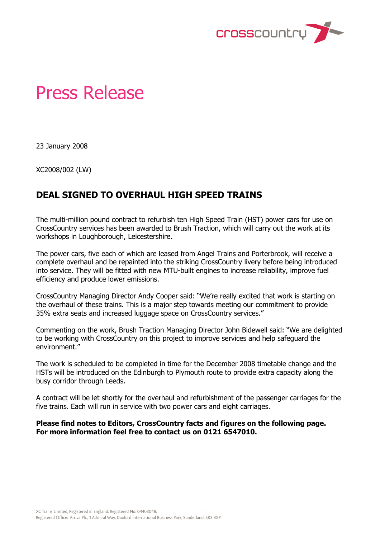

## Press Release

23 January 2008

XC2008/002 (LW)

## **DEAL SIGNED TO OVERHAUL HIGH SPEED TRAINS**

The multi-million pound contract to refurbish ten High Speed Train (HST) power cars for use on CrossCountry services has been awarded to Brush Traction, which will carry out the work at its workshops in Loughborough, Leicestershire.

The power cars, five each of which are leased from Angel Trains and Porterbrook, will receive a complete overhaul and be repainted into the striking CrossCountry livery before being introduced into service. They will be fitted with new MTU-built engines to increase reliability, improve fuel efficiency and produce lower emissions.

CrossCountry Managing Director Andy Cooper said: "We're really excited that work is starting on the overhaul of these trains. This is a major step towards meeting our commitment to provide 35% extra seats and increased luggage space on CrossCountry services."

Commenting on the work, Brush Traction Managing Director John Bidewell said: "We are delighted to be working with CrossCountry on this project to improve services and help safeguard the environment."

The work is scheduled to be completed in time for the December 2008 timetable change and the HSTs will be introduced on the Edinburgh to Plymouth route to provide extra capacity along the busy corridor through Leeds.

A contract will be let shortly for the overhaul and refurbishment of the passenger carriages for the five trains. Each will run in service with two power cars and eight carriages.

**Please find notes to Editors, CrossCountry facts and figures on the following page. For more information feel free to contact us on 0121 6547010.**